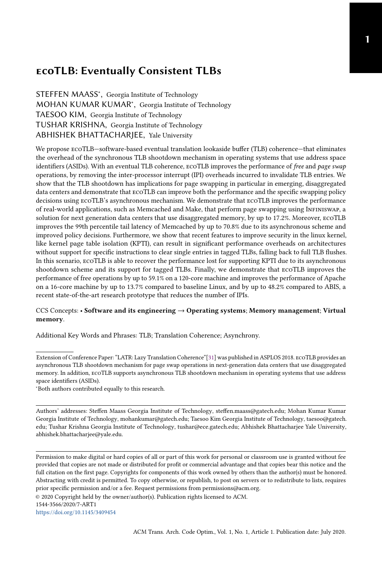# ecoTLB: Eventually Consistent TLBs

STEFFEN MAASS<sup>\*</sup>, Georgia Institute of Technology MOHAN KUMAR KUMAR<sup>\*</sup>, Georgia Institute of Technology TAESOO KIM, Georgia Institute of Technology TUSHAR KRISHNA, Georgia Institute of Technology ABHISHEK BHATTACHARJEE, Yale University

We propose ecoTLB—software-based eventual translation lookaside buffer (TLB) coherence—that eliminates the overhead of the synchronous TLB shootdown mechanism in operating systems that use address space identifiers (ASIDs). With an eventual TLB coherence, ECOTLB improves the performance of free and page swap operations, by removing the inter-processor interrupt (IPI) overheads incurred to invalidate TLB entries. We show that the TLB shootdown has implications for page swapping in particular in emerging, disaggregated data centers and demonstrate that ecoTLB can improve both the performance and the specific swapping policy decisions using ecoTLB's asynchronous mechanism. We demonstrate that ecoTLB improves the performance of real-world applications, such as Memcached and Make, that perform page swapping using Infiniswap, a solution for next generation data centers that use disaggregated memory, by up to 17.2%. Moreover, ecoTLB improves the 99th percentile tail latency of Memcached by up to 70.8% due to its asynchronous scheme and improved policy decisions. Furthermore, we show that recent features to improve security in the linux kernel, like kernel page table isolation (KPTI), can result in significant performance overheads on architectures without support for specific instructions to clear single entries in tagged TLBs, falling back to full TLB flushes. In this scenario, ecoTLB is able to recover the performance lost for supporting KPTI due to its asynchronous shootdown scheme and its support for tagged TLBs. Finally, we demonstrate that ecoTLB improves the performance of free operations by up to 59.1% on a 120-core machine and improves the performance of Apache on a 16-core machine by up to 13.7% compared to baseline Linux, and by up to 48.2% compared to ABIS, a recent state-of-the-art research prototype that reduces the number of IPIs.

#### CCS Concepts: • Software and its engineering → Operating systems; Memory management; Virtual memory.

Additional Key Words and Phrases: TLB; Translation Coherence; Asynchrony.

<sup>∗</sup>Both authors contributed equally to this research.

Authors' addresses: Steffen Maass Georgia Institute of Technology, steffen.maass@gatech.edu; Mohan Kumar Kumar Georgia Institute of Technology, mohankumar@gatech.edu; Taesoo Kim Georgia Institute of Technology, taesoo@gatech. edu; Tushar Krishna Georgia Institute of Technology, tushar@ece.gatech.edu; Abhishek Bhattacharjee Yale University, abhishek.bhattacharjee@yale.edu.

© 2020 Copyright held by the owner/author(s). Publication rights licensed to ACM.

Extension of Conference Paper: "LATR: Lazy Translation Coherence"[\[31\]](#page-21-0) was published in ASPLOS 2018. ecoTLB provides an asynchronous TLB shootdown mechanism for page swap operations in next-generation data centers that use disaggregated memory. In addition, ecoTLB supports asynchronous TLB shootdown mechanism in operating systems that use address space identifiers (ASIDs).

Permission to make digital or hard copies of all or part of this work for personal or classroom use is granted without fee provided that copies are not made or distributed for profit or commercial advantage and that copies bear this notice and the full citation on the first page. Copyrights for components of this work owned by others than the author(s) must be honored. Abstracting with credit is permitted. To copy otherwise, or republish, to post on servers or to redistribute to lists, requires prior specific permission and/or a fee. Request permissions from permissions@acm.org.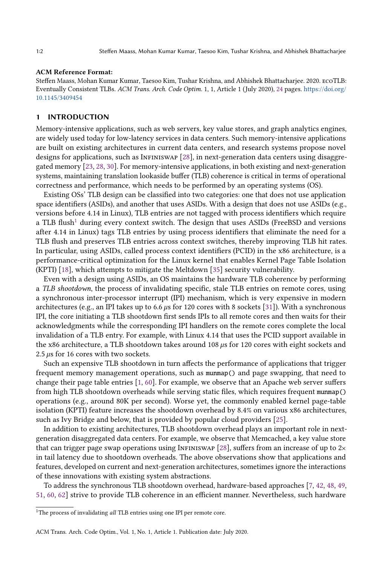#### ACM Reference Format:

Steffen Maass, Mohan Kumar Kumar, Taesoo Kim, Tushar Krishna, and Abhishek Bhattacharjee. 2020. ecoTLB: Eventually Consistent TLBs. ACM Trans. Arch. Code Optim. 1, 1, Article 1 (July 2020), [24](#page-23-0) pages. [https://doi.org/](https://doi.org/10.1145/3409454) [10.1145/3409454](https://doi.org/10.1145/3409454)

#### 1 INTRODUCTION

Memory-intensive applications, such as web servers, key value stores, and graph analytics engines, are widely used today for low-latency services in data centers. Such memory-intensive applications are built on existing architectures in current data centers, and research systems propose novel designs for applications, such as INFINISWAP  $[28]$ , in next-generation data centers using disaggregated memory [\[23,](#page-21-2) [28,](#page-21-1) [30\]](#page-21-3). For memory-intensive applications, in both existing and next-generation systems, maintaining translation lookaside buffer (TLB) coherence is critical in terms of operational correctness and performance, which needs to be performed by an operating systems (OS).

Existing OSs' TLB design can be classified into two categories: one that does not use application space identifiers (ASIDs), and another that uses ASIDs. With a design that does not use ASIDs (e.g., versions before 4.14 in Linux), TLB entries are not tagged with process identifiers which require a TLB flush<sup>[1](#page-1-0)</sup> during every context switch. The design that uses ASIDs (FreeBSD and versions after 4.14 in Linux) tags TLB entries by using process identifiers that eliminate the need for a TLB flush and preserves TLB entries across context switches, thereby improving TLB hit rates. In particular, using ASIDs, called process context identifiers (PCID) in the x86 architecture, is a performance-critical optimization for the Linux kernel that enables Kernel Page Table Isolation (KPTI) [\[18\]](#page-21-4), which attempts to mitigate the Meltdown [\[35\]](#page-21-5) security vulnerability.

Even with a design using ASIDs, an OS maintains the hardware TLB coherence by performing a TLB shootdown, the process of invalidating specific, stale TLB entries on remote cores, using a synchronous inter-processor interrupt (IPI) mechanism, which is very expensive in modern architectures (e.g., an IPI takes up to 6.6  $\mu$ s for 120 cores with 8 sockets [\[31\]](#page-21-0)). With a synchronous IPI, the core initiating a TLB shootdown first sends IPIs to all remote cores and then waits for their acknowledgments while the corresponding IPI handlers on the remote cores complete the local invalidation of a TLB entry. For example, with Linux 4.14 that uses the PCID support available in the x86 architecture, a TLB shootdown takes around 108  $\mu$ s for 120 cores with eight sockets and  $2.5 \,\mu s$  for 16 cores with two sockets.

Such an expensive TLB shootdown in turn affects the performance of applications that trigger frequent memory management operations, such as munmap() and page swapping, that need to change their page table entries [\[1,](#page-20-0) [60\]](#page-22-0). For example, we observe that an Apache web server suffers from high TLB shootdown overheads while serving static files, which requires frequent munmap() operations (e.g., around 80K per second). Worse yet, the commonly enabled kernel page-table isolation (KPTI) feature increases the shootdown overhead by 8.4% on various x86 architectures, such as Ivy Bridge and below, that is provided by popular cloud providers [\[25\]](#page-21-6).

In addition to existing architectures, TLB shootdown overhead plays an important role in nextgeneration disaggregated data centers. For example, we observe that Memcached, a key value store that can trigger page swap operations using INFINISWAP [\[28\]](#page-21-1), suffers from an increase of up to  $2\times$ in tail latency due to shootdown overheads. The above observations show that applications and features, developed on current and next-generation architectures, sometimes ignore the interactions of these innovations with existing system abstractions.

To address the synchronous TLB shootdown overhead, hardware-based approaches [\[7,](#page-20-1) [42,](#page-22-1) [48,](#page-22-2) [49,](#page-22-3) [51,](#page-22-4) [60,](#page-22-0) [62\]](#page-22-5) strive to provide TLB coherence in an efficient manner. Nevertheless, such hardware

<span id="page-1-0"></span><sup>&</sup>lt;sup>1</sup>The process of invalidating all TLB entries using one IPI per remote core.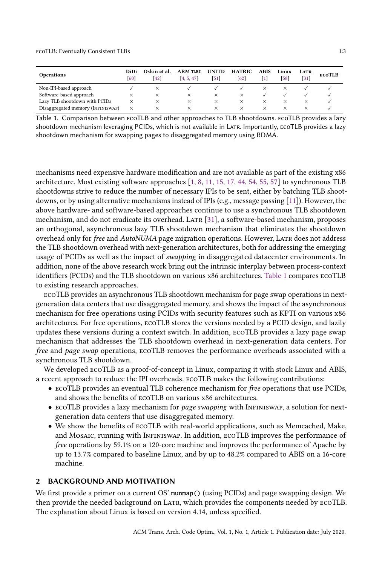#### ecoTLB: Eventually Consistent TLBs 1:3

<span id="page-2-0"></span>

| <b>Operations</b>                 | DiDi<br><b>60</b> | Oskin et al.<br> 42 | ARM TLBI<br>[4, 5, 47] | <b>UNITD</b><br>[51] | <b>HATRIC</b><br>62 | <b>ABIS</b> | Linux<br>[58] | LATR<br>$\left[31\right]$ | ECOTLB |
|-----------------------------------|-------------------|---------------------|------------------------|----------------------|---------------------|-------------|---------------|---------------------------|--------|
| Non-IPI-based approach            |                   | ×                   |                        |                      |                     | $\times$    |               |                           |        |
| Software-based approach           |                   | $\times$            | $\times$               | $\times$             |                     |             |               |                           |        |
| Lazy TLB shootdown with PCIDs     | $\times$          | ×                   | ×                      | $\times$             |                     | $\times$    |               |                           |        |
| Disaggregated memory (INFINISWAP) | ×                 | ×                   | ×                      | $\times$             | $\times$            | $\times$    |               |                           |        |

Table 1. Comparison between ecoTLB and other approaches to TLB shootdowns. ecoTLB provides a lazy shootdown mechanism leveraging PCIDs, which is not available in LATR. Importantly, ECOTLB provides a lazy shootdown mechanism for swapping pages to disaggregated memory using RDMA.

mechanisms need expensive hardware modification and are not available as part of the existing x86 architecture. Most existing software approaches [\[1,](#page-20-0) [8,](#page-20-4) [11,](#page-20-5) [15,](#page-21-7) [17,](#page-21-8) [44,](#page-22-8) [54,](#page-22-9) [55,](#page-22-10) [57\]](#page-22-11) to synchronous TLB shootdowns strive to reduce the number of necessary IPIs to be sent, either by batching TLB shootdowns, or by using alternative mechanisms instead of IPIs (e.g., message passing [\[11\]](#page-20-5)). However, the above hardware- and software-based approaches continue to use a synchronous TLB shootdown mechanism, and do not eradicate its overhead. LATR [\[31\]](#page-21-0), a software-based mechanism, proposes an orthogonal, asynchronous lazy TLB shootdown mechanism that eliminates the shootdown overhead only for free and AutoNUMA page migration operations. However, LATR does not address the TLB shootdown overhead with next-generation architectures, both for addressing the emerging usage of PCIDs as well as the impact of swapping in disaggregated datacenter environments. In addition, none of the above research work bring out the intrinsic interplay between process-context identifiers (PCIDs) and the TLB shootdown on various x86 architectures. [Table 1](#page-2-0) compares ecoTLB to existing research approaches.

ecoTLB provides an asynchronous TLB shootdown mechanism for page swap operations in nextgeneration data centers that use disaggregated memory, and shows the impact of the asynchronous mechanism for free operations using PCIDs with security features such as KPTI on various x86 architectures. For free operations, ecoTLB stores the versions needed by a PCID design, and lazily updates these versions during a context switch. In addition, ecoTLB provides a lazy page swap mechanism that addresses the TLB shootdown overhead in next-generation data centers. For free and page swap operations, ecoTLB removes the performance overheads associated with a synchronous TLB shootdown.

We developed ecoTLB as a proof-of-concept in Linux, comparing it with stock Linux and ABIS, a recent approach to reduce the IPI overheads. ecoTLB makes the following contributions:

- ecoTLB provides an eventual TLB coherence mechanism for free operations that use PCIDs, and shows the benefits of ecoTLB on various x86 architectures.
- ECOTLB provides a lazy mechanism for page swapping with INFINISWAP, a solution for nextgeneration data centers that use disaggregated memory.
- We show the benefits of ecoTLB with real-world applications, such as Memcached, Make, and Mosaic, running with Infiniswap. In addition, ECOTLB improves the performance of free operations by 59.1% on a 120-core machine and improves the performance of Apache by up to 13.7% compared to baseline Linux, and by up to 48.2% compared to ABIS on a 16-core machine.

#### <span id="page-2-1"></span>2 BACKGROUND AND MOTIVATION

We first provide a primer on a current OS' munmap() (using PCIDs) and page swapping design. We then provide the needed background on Latr, which provides the components needed by ecoTLB. The explanation about Linux is based on version 4.14, unless specified.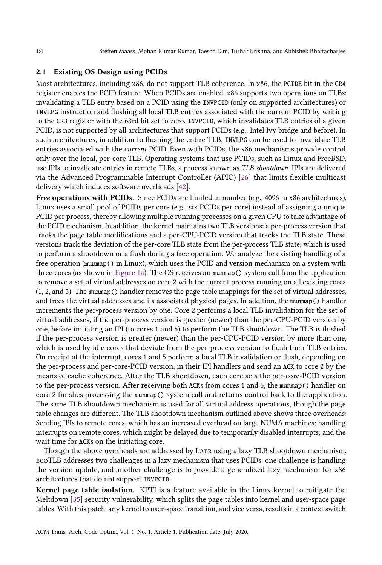### <span id="page-3-0"></span>2.1 Existing OS Design using PCIDs

Most architectures, including x86, do not support TLB coherence. In x86, the PCIDE bit in the CR4 register enables the PCID feature. When PCIDs are enabled, x86 supports two operations on TLBs: invalidating a TLB entry based on a PCID using the INVPCID (only on supported architectures) or INVLPG instruction and flushing all local TLB entries associated with the current PCID by writing to the CR3 register with the 63rd bit set to zero. INVPCID, which invalidates TLB entries of a given PCID, is not supported by all architectures that support PCIDs (e.g., Intel Ivy bridge and before). In such architectures, in addition to flushing the entire TLB, INVLPG can be used to invalidate TLB entries associated with the current PCID. Even with PCIDs, the x86 mechanisms provide control only over the local, per-core TLB. Operating systems that use PCIDs, such as Linux and FreeBSD, use IPIs to invalidate entries in remote TLBs, a process known as TLB shootdown. IPIs are delivered via the Advanced Programmable Interrupt Controller (APIC) [\[26\]](#page-21-9) that limits flexible multicast delivery which induces software overheads [\[42\]](#page-22-1).

Free operations with PCIDs. Since PCIDs are limited in number (e.g., 4096 in x86 architectures), Linux uses a small pool of PCIDs per core (e.g., six PCIDs per core) instead of assigning a unique PCID per process, thereby allowing multiple running processes on a given CPU to take advantage of the PCID mechanism. In addition, the kernel maintains two TLB versions: a per-process version that tracks the page table modifications and a per-CPU-PCID version that tracks the TLB state. These versions track the deviation of the per-core TLB state from the per-process TLB state, which is used to perform a shootdown or a flush during a free operation. We analyze the existing handling of a free operation (munmap() in Linux), which uses the PCID and version mechanism on a system with three cores (as shown in [Figure 1a\)](#page-4-0). The OS receives an munmap() system call from the application to remove a set of virtual addresses on core 2 with the current process running on all existing cores (1, 2, and 5). The munmap() handler removes the page table mappings for the set of virtual addresses, and frees the virtual addresses and its associated physical pages. In addition, the munmap() handler increments the per-process version by one. Core 2 performs a local TLB invalidation for the set of virtual addresses, if the per-process version is greater (newer) than the per-CPU-PCID version by one, before initiating an IPI (to cores 1 and 5) to perform the TLB shootdown. The TLB is flushed if the per-process version is greater (newer) than the per-CPU-PCID version by more than one, which is used by idle cores that deviate from the per-process version to flush their TLB entries. On receipt of the interrupt, cores 1 and 5 perform a local TLB invalidation or flush, depending on the per-process and per-core-PCID version, in their IPI handlers and send an ACK to core 2 by the means of cache coherence. After the TLB shootdown, each core sets the per-core-PCID version to the per-process version. After receiving both ACKs from cores 1 and 5, the munmap() handler on core 2 finishes processing the munmap() system call and returns control back to the application. The same TLB shootdown mechanism is used for all virtual address operations, though the page table changes are different. The TLB shootdown mechanism outlined above shows three overheads: Sending IPIs to remote cores, which has an increased overhead on large NUMA machines; handling interrupts on remote cores, which might be delayed due to temporarily disabled interrupts; and the wait time for ACKs on the initiating core.

Though the above overheads are addressed by LATR using a lazy TLB shootdown mechanism, ecoTLB addresses two challenges in a lazy mechanism that uses PCIDs: one challenge is handling the version update, and another challenge is to provide a generalized lazy mechanism for x86 architectures that do not support INVPCID.

Kernel page table isolation. KPTI is a feature available in the Linux kernel to mitigate the Meltdown [\[35\]](#page-21-5) security vulnerability, which splits the page tables into kernel and user-space page tables. With this patch, any kernel to user-space transition, and vice versa, results in a context switch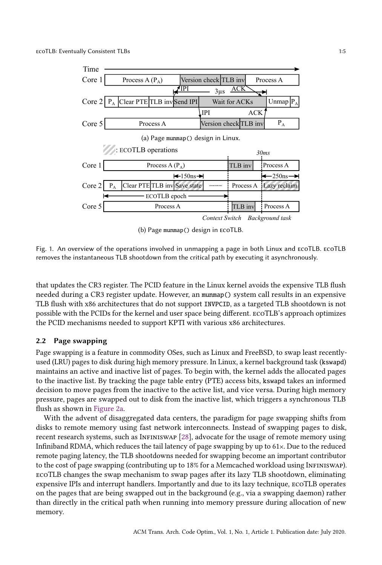<span id="page-4-0"></span>

(b) Page munmap() design in ecoTLB.

Fig. 1. An overview of the operations involved in unmapping a page in both Linux and ecoTLB. ecoTLB removes the instantaneous TLB shootdown from the critical path by executing it asynchronously.

that updates the CR3 register. The PCID feature in the Linux kernel avoids the expensive TLB flush needed during a CR3 register update. However, an munmap() system call results in an expensive TLB flush with x86 architectures that do not support INVPCID, as a targeted TLB shootdown is not possible with the PCIDs for the kernel and user space being different. ecoTLB's approach optimizes the PCID mechanisms needed to support KPTI with various x86 architectures.

### 2.2 Page swapping

Page swapping is a feature in commodity OSes, such as Linux and FreeBSD, to swap least recentlyused (LRU) pages to disk during high memory pressure. In Linux, a kernel background task (kswapd) maintains an active and inactive list of pages. To begin with, the kernel adds the allocated pages to the inactive list. By tracking the page table entry (PTE) access bits, kswapd takes an informed decision to move pages from the inactive to the active list, and vice versa. During high memory pressure, pages are swapped out to disk from the inactive list, which triggers a synchronous TLB flush as shown in [Figure 2a.](#page-5-0)

With the advent of disaggregated data centers, the paradigm for page swapping shifts from disks to remote memory using fast network interconnects. Instead of swapping pages to disk, recent research systems, such as Infiniswap [\[28\]](#page-21-1), advocate for the usage of remote memory using Infiniband RDMA, which reduces the tail latency of page swapping by up to  $61\times$ . Due to the reduced remote paging latency, the TLB shootdowns needed for swapping become an important contributor to the cost of page swapping (contributing up to 18% for a Memcached workload using Infiniswap). ecoTLB changes the swap mechanism to swap pages after its lazy TLB shootdown, eliminating expensive IPIs and interrupt handlers. Importantly and due to its lazy technique, ecoTLB operates on the pages that are being swapped out in the background (e.g., via a swapping daemon) rather than directly in the critical path when running into memory pressure during allocation of new memory.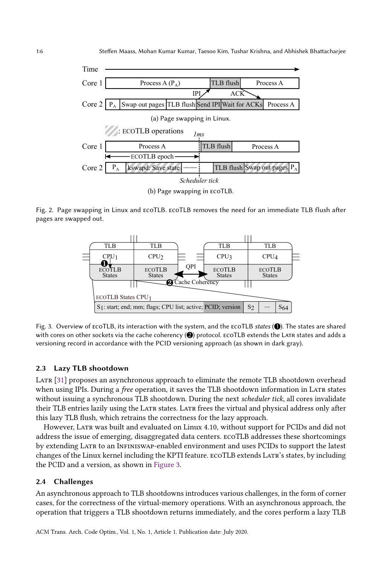<span id="page-5-0"></span>

<span id="page-5-1"></span>Fig. 2. Page swapping in Linux and ecoTLB. ecoTLB removes the need for an immediate TLB flush after pages are swapped out.



Fig. 3. Overview of  $\epsilon$ coTLB, its interaction with the system, and the  $\epsilon$ coTLB states  $\circled{O}$ . The states are shared with cores on other sockets via the cache coherency  $\circled{2}$  protocol. ECOTLB extends the LATR states and adds a versioning record in accordance with the PCID versioning approach (as shown in dark gray).

### 2.3 Lazy TLB shootdown

LATR [\[31\]](#page-21-0) proposes an asynchronous approach to eliminate the remote TLB shootdown overhead when using IPIs. During a free operation, it saves the TLB shootdown information in LATR states without issuing a synchronous TLB shootdown. During the next scheduler tick, all cores invalidate their TLB entries lazily using the LATR states. LATR frees the virtual and physical address only after this lazy TLB flush, which retrains the correctness for the lazy approach.

However, LATR was built and evaluated on Linux 4.10, without support for PCIDs and did not address the issue of emerging, disaggregated data centers. ecoTLB addresses these shortcomings by extending Latr to an Infiniswap-enabled environment and uses PCIDs to support the latest changes of the Linux kernel including the KPTI feature. ECOTLB extends LATR's states, by including the PCID and a version, as shown in [Figure 3.](#page-5-1)

#### <span id="page-5-2"></span>2.4 Challenges

An asynchronous approach to TLB shootdowns introduces various challenges, in the form of corner cases, for the correctness of the virtual-memory operations. With an asynchronous approach, the operation that triggers a TLB shootdown returns immediately, and the cores perform a lazy TLB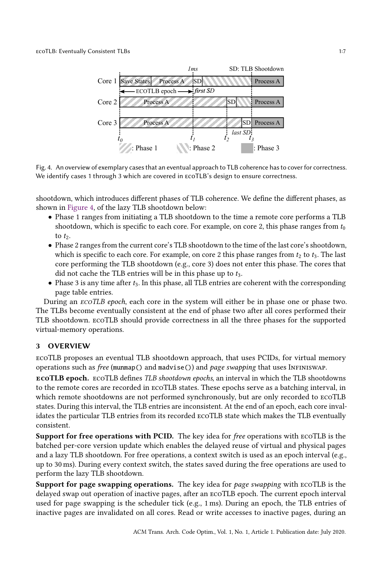<span id="page-6-0"></span>

Fig. 4. An overview of exemplary cases that an eventual approach to TLB coherence has to cover for correctness. We identify cases 1 through 3 which are covered in ecoTLB's design to ensure correctness.

shootdown, which introduces different phases of TLB coherence. We define the different phases, as shown in [Figure 4,](#page-6-0) of the lazy TLB shootdown below:

- Phase 1 ranges from initiating a TLB shootdown to the time a remote core performs a TLB shootdown, which is specific to each core. For example, on core 2, this phase ranges from  $t_0$ to  $t_2$ .
- Phase 2 ranges from the current core's TLB shootdown to the time of the last core's shootdown, which is specific to each core. For example, on core 2 this phase ranges from  $t_2$  to  $t_3$ . The last core performing the TLB shootdown (e.g., core 3) does not enter this phase. The cores that did not cache the TLB entries will be in this phase up to  $t_3$ .
- $\bullet$  Phase 3 is any time after  $t_3$ . In this phase, all TLB entries are coherent with the corresponding page table entries.

During an ecoTLB epoch, each core in the system will either be in phase one or phase two. The TLBs become eventually consistent at the end of phase two after all cores performed their TLB shootdown. ecoTLB should provide correctness in all the three phases for the supported virtual-memory operations.

# 3 OVERVIEW

ecoTLB proposes an eventual TLB shootdown approach, that uses PCIDs, for virtual memory operations such as free (munmap() and madvise()) and page swapping that uses Infiniswap.

ecoTLB epoch. ecoTLB defines TLB shootdown epochs, an interval in which the TLB shootdowns to the remote cores are recorded in ecoTLB states. These epochs serve as a batching interval, in which remote shootdowns are not performed synchronously, but are only recorded to ecoTLB states. During this interval, the TLB entries are inconsistent. At the end of an epoch, each core invalidates the particular TLB entries from its recorded ecoTLB state which makes the TLB eventually consistent.

Support for free operations with PCID. The key idea for free operations with ecoTLB is the batched per-core version update which enables the delayed reuse of virtual and physical pages and a lazy TLB shootdown. For free operations, a context switch is used as an epoch interval (e.g., up to 30 ms). During every context switch, the states saved during the free operations are used to perform the lazy TLB shootdown.

Support for page swapping operations. The key idea for page swapping with ECOTLB is the delayed swap out operation of inactive pages, after an ecoTLB epoch. The current epoch interval used for page swapping is the scheduler tick (e.g., 1 ms). During an epoch, the TLB entries of inactive pages are invalidated on all cores. Read or write accesses to inactive pages, during an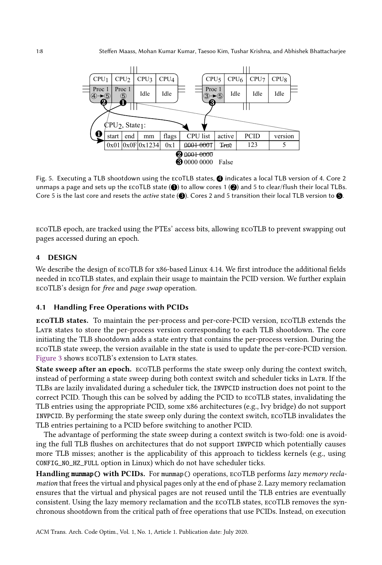<span id="page-7-0"></span>

Fig. 5. Executing a TLB shootdown using the ECOTLB states, **4** indicates a local TLB version of 4. Core 2 unmaps a page and sets up the  $ECOTLB$  state ( $\bigcirc$ ) to allow cores 1 ( $\bigcirc$ ) and 5 to clear/flush their local TLBs. Core 5 is the last core and resets the *active* state ( $\circled{a}$ ). Cores 2 and 5 transition their local TLB version to  $\circled{a}$ .

ecoTLB epoch, are tracked using the PTEs' access bits, allowing ecoTLB to prevent swapping out pages accessed during an epoch.

### 4 DESIGN

We describe the design of ecoTLB for x86-based Linux 4.14. We first introduce the additional fields needed in ecoTLB states, and explain their usage to maintain the PCID version. We further explain ecoTLB's design for free and page swap operation.

# 4.1 Handling Free Operations with PCIDs

ecoTLB states. To maintain the per-process and per-core-PCID version, ecoTLB extends the LATR states to store the per-process version corresponding to each TLB shootdown. The core initiating the TLB shootdown adds a state entry that contains the per-process version. During the ecoTLB state sweep, the version available in the state is used to update the per-core-PCID version. [Figure 3](#page-5-1) shows  $ECOTLB$ 's extension to LATR states.

State sweep after an epoch. ecoTLB performs the state sweep only during the context switch, instead of performing a state sweep during both context switch and scheduler ticks in LATR. If the TLBs are lazily invalidated during a scheduler tick, the INVPCID instruction does not point to the correct PCID. Though this can be solved by adding the PCID to ecoTLB states, invalidating the TLB entries using the appropriate PCID, some x86 architectures (e.g., Ivy bridge) do not support INVPCID. By performing the state sweep only during the context switch, ecoTLB invalidates the TLB entries pertaining to a PCID before switching to another PCID.

The advantage of performing the state sweep during a context switch is two-fold: one is avoiding the full TLB flushes on architectures that do not support INVPCID which potentially causes more TLB misses; another is the applicability of this approach to tickless kernels (e.g., using CONFIG\_NO\_HZ\_FULL option in Linux) which do not have scheduler ticks.

Handling munmap() with PCIDs. For munmap() operations, ECOTLB performs lazy memory reclamation that frees the virtual and physical pages only at the end of phase 2. Lazy memory reclamation ensures that the virtual and physical pages are not reused until the TLB entries are eventually consistent. Using the lazy memory reclamation and the ecoTLB states, ecoTLB removes the synchronous shootdown from the critical path of free operations that use PCIDs. Instead, on execution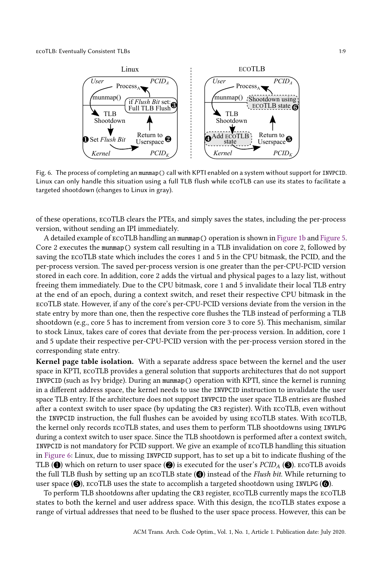<span id="page-8-0"></span>

Fig. 6. The process of completing an munmap() call with KPTI enabled on a system without support for INVPCID. Linux can only handle this situation using a full TLB flush while ecoTLB can use its states to facilitate a targeted shootdown (changes to Linux in gray).

of these operations, ecoTLB clears the PTEs, and simply saves the states, including the per-process version, without sending an IPI immediately.

A detailed example of ecoTLB handling an munmap() operation is shown in [Figure 1b](#page-4-0) and [Figure 5.](#page-7-0) Core 2 executes the munmap() system call resulting in a TLB invalidation on core 2, followed by saving the ecoTLB state which includes the cores 1 and 5 in the CPU bitmask, the PCID, and the per-process version. The saved per-process version is one greater than the per-CPU-PCID version stored in each core. In addition, core 2 adds the virtual and physical pages to a lazy list, without freeing them immediately. Due to the CPU bitmask, core 1 and 5 invalidate their local TLB entry at the end of an epoch, during a context switch, and reset their respective CPU bitmask in the ecoTLB state. However, if any of the core's per-CPU-PCID versions deviate from the version in the state entry by more than one, then the respective core flushes the TLB instead of performing a TLB shootdown (e.g., core 5 has to increment from version core 3 to core 5). This mechanism, similar to stock Linux, takes care of cores that deviate from the per-process version. In addition, core 1 and 5 update their respective per-CPU-PCID version with the per-process version stored in the corresponding state entry.

Kernel page table isolation. With a separate address space between the kernel and the user space in KPTI, ecoTLB provides a general solution that supports architectures that do not support INVPCID (such as Ivy bridge). During an munmap() operation with KPTI, since the kernel is running in a different address space, the kernel needs to use the INVPCID instruction to invalidate the user space TLB entry. If the architecture does not support INVPCID the user space TLB entries are flushed after a context switch to user space (by updating the CR3 register). With ecoTLB, even without the INVPCID instruction, the full flushes can be avoided by using ecoTLB states. With ecoTLB, the kernel only records ecoTLB states, and uses them to perform TLB shootdowns using INVLPG during a context switch to user space. Since the TLB shootdown is performed after a context switch, INVPCID is not mandatory for PCID support. We give an example of ecoTLB handling this situation in [Figure 6:](#page-8-0) Linux, due to missing INVPCID support, has to set up a bit to indicate flushing of the TLB ( $\bullet$ ) which on return to user space ( $\bullet$ ) is executed for the user's PCID<sub>A</sub> ( $\bullet$ ). EcoTLB avoids the full TLB flush by setting up an  $\mathsf{E}\mathrm{C}$  and  $\mathsf{C}$  instead of the Flush bit. While returning to user space  $( \bigcirc )$ , ECOTLB uses the state to accomplish a targeted shootdown using INVLPG  $( \bigcirc )$ .

To perform TLB shootdowns after updating the CR3 register, ecoTLB currently maps the ecoTLB states to both the kernel and user address space. With this design, the ecoTLB states expose a range of virtual addresses that need to be flushed to the user space process. However, this can be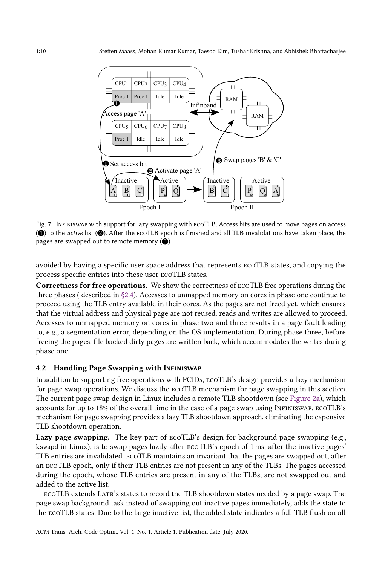

Fig. 7. Infiniswap with support for lazy swapping with ecoTLB. Access bits are used to move pages on access  $(\bigodot)$  to the *active* list  $(\bigodot)$ . After the ECOTLB epoch is finished and all TLB invalidations have taken place, the pages are swapped out to remote memory  $($ 

avoided by having a specific user space address that represents ecoTLB states, and copying the process specific entries into these user ecoTLB states.

Correctness for free operations. We show the correctness of ecoTLB free operations during the three phases ( described in [§2.4\)](#page-5-2). Accesses to unmapped memory on cores in phase one continue to proceed using the TLB entry available in their cores. As the pages are not freed yet, which ensures that the virtual address and physical page are not reused, reads and writes are allowed to proceed. Accesses to unmapped memory on cores in phase two and three results in a page fault leading to, e.g., a segmentation error, depending on the OS implementation. During phase three, before freeing the pages, file backed dirty pages are written back, which accommodates the writes during phase one.

### 4.2 Handling Page Swapping with Infiniswap

In addition to supporting free operations with PCIDs, ecoTLB's design provides a lazy mechanism for page swap operations. We discuss the ecoTLB mechanism for page swapping in this section. The current page swap design in Linux includes a remote TLB shootdown (see [Figure 2a\)](#page-5-0), which accounts for up to 18% of the overall time in the case of a page swap using Infiniswap. ecoTLB's mechanism for page swapping provides a lazy TLB shootdown approach, eliminating the expensive TLB shootdown operation.

Lazy page swapping. The key part of  $ECOTLB$ 's design for background page swapping (e.g., kswapd in Linux), is to swap pages lazily after ecoTLB's epoch of 1 ms, after the inactive pages' TLB entries are invalidated. ecoTLB maintains an invariant that the pages are swapped out, after an ecoTLB epoch, only if their TLB entries are not present in any of the TLBs. The pages accessed during the epoch, whose TLB entries are present in any of the TLBs, are not swapped out and added to the active list.

ecoTLB extends Latr's states to record the TLB shootdown states needed by a page swap. The page swap background task instead of swapping out inactive pages immediately, adds the state to the ecoTLB states. Due to the large inactive list, the added state indicates a full TLB flush on all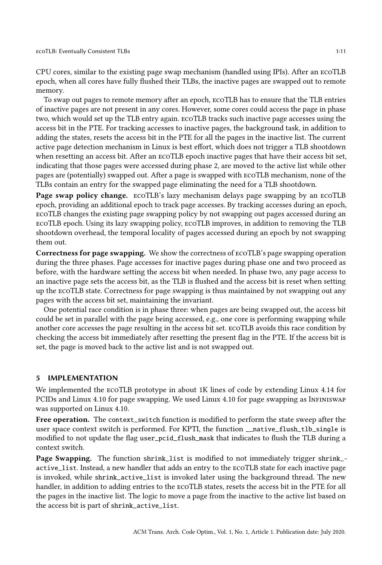CPU cores, similar to the existing page swap mechanism (handled using IPIs). After an ecoTLB epoch, when all cores have fully flushed their TLBs, the inactive pages are swapped out to remote memory.

To swap out pages to remote memory after an epoch, ecoTLB has to ensure that the TLB entries of inactive pages are not present in any cores. However, some cores could access the page in phase two, which would set up the TLB entry again. ecoTLB tracks such inactive page accesses using the access bit in the PTE. For tracking accesses to inactive pages, the background task, in addition to adding the states, resets the access bit in the PTE for all the pages in the inactive list. The current active page detection mechanism in Linux is best effort, which does not trigger a TLB shootdown when resetting an access bit. After an ecoTLB epoch inactive pages that have their access bit set, indicating that those pages were accessed during phase 2, are moved to the active list while other pages are (potentially) swapped out. After a page is swapped with ecoTLB mechanism, none of the TLBs contain an entry for the swapped page eliminating the need for a TLB shootdown.

Page swap policy change. ecoTLB's lazy mechanism delays page swapping by an ecoTLB epoch, providing an additional epoch to track page accesses. By tracking accesses during an epoch, ecoTLB changes the existing page swapping policy by not swapping out pages accessed during an ecoTLB epoch. Using its lazy swapping policy, ecoTLB improves, in addition to removing the TLB shootdown overhead, the temporal locality of pages accessed during an epoch by not swapping them out.

Correctness for page swapping. We show the correctness of ecoTLB's page swapping operation during the three phases. Page accesses for inactive pages during phase one and two proceed as before, with the hardware setting the access bit when needed. In phase two, any page access to an inactive page sets the access bit, as the TLB is flushed and the access bit is reset when setting up the ecoTLB state. Correctness for page swapping is thus maintained by not swapping out any pages with the access bit set, maintaining the invariant.

One potential race condition is in phase three: when pages are being swapped out, the access bit could be set in parallel with the page being accessed, e.g., one core is performing swapping while another core accesses the page resulting in the access bit set. ecoTLB avoids this race condition by checking the access bit immediately after resetting the present flag in the PTE. If the access bit is set, the page is moved back to the active list and is not swapped out.

#### 5 IMPLEMENTATION

We implemented the ecoTLB prototype in about 1K lines of code by extending Linux 4.14 for PCIDs and Linux 4.10 for page swapping. We used Linux 4.10 for page swapping as Infiniswap was supported on Linux 4.10.

Free operation. The context\_switch function is modified to perform the state sweep after the user space context switch is performed. For KPTI, the function \_\_native\_flush\_tlb\_single is modified to not update the flag user\_pcid\_flush\_mask that indicates to flush the TLB during a context switch.

Page Swapping. The function shrink\_list is modified to not immediately trigger shrink\_active\_list. Instead, a new handler that adds an entry to the ecoTLB state for each inactive page is invoked, while shrink\_active\_list is invoked later using the background thread. The new handler, in addition to adding entries to the ecoTLB states, resets the access bit in the PTE for all the pages in the inactive list. The logic to move a page from the inactive to the active list based on the access bit is part of shrink\_active\_list.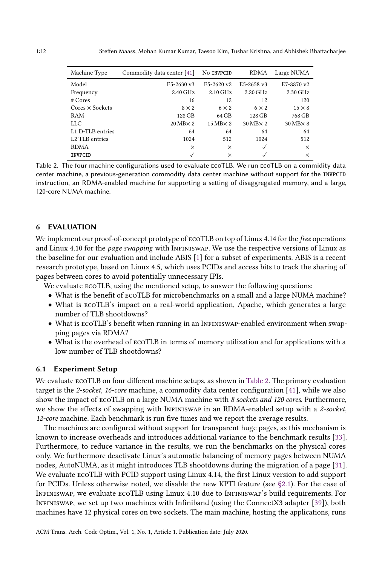<span id="page-11-0"></span>

| Machine Type                 | Commodity data center [41] | No INVPCID         | <b>RDMA</b>        | Large NUMA         |
|------------------------------|----------------------------|--------------------|--------------------|--------------------|
| Model                        | $E5-2630$ v3               | $E5-2620$ v2       | $E5-2658$ v3       | E7-8870 v2         |
| Frequency                    | 2.40 GHz                   | $2.10$ GHz         | $2.20$ GHz         | 2.30 GHz           |
| $#$ Cores                    | 16                         | 12                 | 12                 | 120                |
| $Cores \times Sockets$       | $8 \times 2$               | $6 \times 2$       | $6 \times 2$       | $15 \times 8$      |
| RAM                          | 128 GB                     | 64 GB              | 128 GB             | 768 GB             |
| LLC                          | $20$ MB $\times$ 2         | $15$ MB $\times$ 2 | $30$ MB $\times$ 2 | $30$ MB $\times$ 8 |
| L <sub>1</sub> D-TLB entries | 64                         | 64                 | 64                 | 64                 |
| L <sub>2</sub> TLB entries   | 1024                       | 512                | 1024               | 512                |
| <b>RDMA</b>                  | $\times$                   | $\times$           | ✓                  | $\times$           |
| INVPCID                      | $\checkmark$               | X                  | ✓                  | X                  |

Table 2. The four machine configurations used to evaluate ecoTLB. We run ecoTLB on a commidity data center machine, a previous-generation commodity data center machine without support for the INVPCID instruction, an RDMA-enabled machine for supporting a setting of disaggregated memory, and a large, 120-core NUMA machine.

### 6 EVALUATION

We implement our proof-of-concept prototype of ECOTLB on top of Linux 4.14 for the free operations and Linux 4.10 for the page swapping with InFINISWAP. We use the respective versions of Linux as the baseline for our evaluation and include ABIS [\[1\]](#page-20-0) for a subset of experiments. ABIS is a recent research prototype, based on Linux 4.5, which uses PCIDs and access bits to track the sharing of pages between cores to avoid potentially unnecessary IPIs.

We evaluate ecoTLB, using the mentioned setup, to answer the following questions:

- What is the benefit of ecoTLB for microbenchmarks on a small and a large NUMA machine?
- What is ecoTLB's impact on a real-world application, Apache, which generates a large number of TLB shootdowns?
- What is ecoTLB's benefit when running in an Infiniswap-enabled environment when swapping pages via RDMA?
- What is the overhead of ecoTLB in terms of memory utilization and for applications with a low number of TLB shootdowns?

#### 6.1 Experiment Setup

We evaluate ecoTLB on four different machine setups, as shown in [Table 2.](#page-11-0) The primary evaluation target is the 2-socket, 16-core machine, a commodity data center configuration [\[41\]](#page-22-12), while we also show the impact of ECOTLB on a large NUMA machine with 8 sockets and 120 cores. Furthermore, we show the effects of swapping with INFINISWAP in an RDMA-enabled setup with a 2-socket, 12-core machine. Each benchmark is run five times and we report the average results.

The machines are configured without support for transparent huge pages, as this mechanism is known to increase overheads and introduces additional variance to the benchmark results [\[33\]](#page-21-10). Furthermore, to reduce variance in the results, we run the benchmarks on the physical cores only. We furthermore deactivate Linux's automatic balancing of memory pages between NUMA nodes, AutoNUMA, as it might introduces TLB shootdowns during the migration of a page [\[31\]](#page-21-0). We evaluate ecoTLB with PCID support using Linux 4.14, the first Linux version to add support for PCIDs. Unless otherwise noted, we disable the new KPTI feature (see [§2.1\)](#page-3-0). For the case of Infiniswap, we evaluate ecoTLB using Linux 4.10 due to Infiniswap's build requirements. For Infiniswap, we set up two machines with Infiniband (using the ConnectX3 adapter [\[39\]](#page-22-13)), both machines have 12 physical cores on two sockets. The main machine, hosting the applications, runs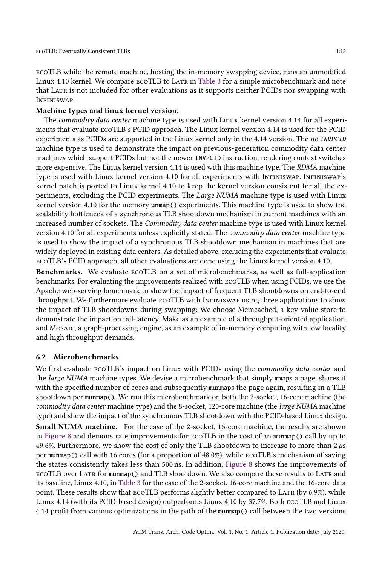ecoTLB while the remote machine, hosting the in-memory swapping device, runs an unmodified Linux 4.10 kernel. We compare ECOTLB to LATR in [Table 3](#page-13-0) for a simple microbenchmark and note that LATR is not included for other evaluations as it supports neither PCIDs nor swapping with Infiniswap.

#### Machine types and linux kernel version.

The *commodity data center* machine type is used with Linux kernel version 4.14 for all experiments that evaluate ecoTLB's PCID approach. The Linux kernel version 4.14 is used for the PCID experiments as PCIDs are supported in the Linux kernel only in the 4.14 version. The no INVPCID machine type is used to demonstrate the impact on previous-generation commodity data center machines which support PCIDs but not the newer INVPCID instruction, rendering context switches more expensive. The Linux kernel version 4.14 is used with this machine type. The RDMA machine type is used with Linux kernel version 4.10 for all experiments with Infiniswap. Infiniswap's kernel patch is ported to Linux kernel 4.10 to keep the kernel version consistent for all the experiments, excluding the PCID experiments. The Large NUMA machine type is used with Linux kernel version 4.10 for the memory unmap() experiments. This machine type is used to show the scalability bottleneck of a synchronous TLB shootdown mechanism in current machines with an increased number of sockets. The Commodity data center machine type is used with Linux kernel version 4.10 for all experiments unless explicitly stated. The commodity data center machine type is used to show the impact of a synchronous TLB shootdown mechanism in machines that are widely deployed in existing data centers. As detailed above, excluding the experiments that evaluate ecoTLB's PCID approach, all other evaluations are done using the Linux kernel version 4.10.

Benchmarks. We evaluate ecoTLB on a set of microbenchmarks, as well as full-application benchmarks. For evaluating the improvements realized with ecoTLB when using PCIDs, we use the Apache web-serving benchmark to show the impact of frequent TLB shootdowns on end-to-end throughput. We furthermore evaluate ecoTLB with Infiniswap using three applications to show the impact of TLB shootdowns during swapping: We choose Memcached, a key-value store to demonstrate the impact on tail-latency, Make as an example of a throughput-oriented application, and Mosaic, a graph-processing engine, as an example of in-memory computing with low locality and high throughput demands.

### 6.2 Microbenchmarks

We first evaluate ECOTLB's impact on Linux with PCIDs using the *commodity data center* and the large NUMA machine types. We devise a microbenchmark that simply mmaps a page, shares it with the specified number of cores and subsequently munmaps the page again, resulting in a TLB shootdown per munmap(). We run this microbenchmark on both the 2-socket, 16-core machine (the commodity data center machine type) and the 8-socket, 120-core machine (the large NUMA machine type) and show the impact of the synchronous TLB shootdown with the PCID-based Linux design. Small NUMA machine. For the case of the 2-socket, 16-core machine, the results are shown in [Figure 8](#page-13-1) and demonstrate improvements for ecoTLB in the cost of an munmap() call by up to 49.6%. Furthermore, we show the cost of only the TLB shootdown to increase to more than  $2 \mu s$ per munmap() call with 16 cores (for a proportion of 48.0%), while ecoTLB's mechanism of saving the states consistently takes less than 500 ns. In addition, [Figure 8](#page-13-1) shows the improvements of ECOTLB over LATR for munmap() and TLB shootdown. We also compare these results to LATR and its baseline, Linux 4.10, in [Table 3](#page-13-0) for the case of the 2-socket, 16-core machine and the 16-core data point. These results show that ECOTLB performs slightly better compared to LATR (by 6.9%), while Linux 4.14 (with its PCID-based design) outperforms Linux 4.10 by 37.7%. Both ecoTLB and Linux 4.14 profit from various optimizations in the path of the munmap() call between the two versions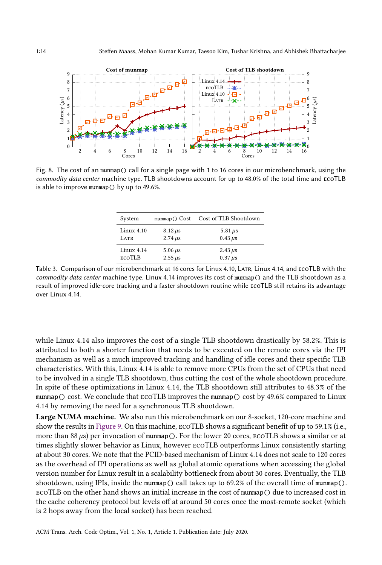<span id="page-13-1"></span>

<span id="page-13-0"></span>Fig. 8. The cost of an munmap() call for a single page with 1 to 16 cores in our microbenchmark, using the commodity data center machine type. TLB shootdowns account for up to 48.0% of the total time and ecoTLB is able to improve munmap() by up to 49.6%.

| System        | mummap() Cost  | Cost of TLB Shootdown |
|---------------|----------------|-----------------------|
| Linux $4.10$  | $8.12 \,\mu s$ | 5.81 $\mu$ s          |
| LATR          | $2.74 \,\mu s$ | $0.43 \mu s$          |
| Linux 4.14    | $5.06 \,\mu s$ | $2.43 \mu s$          |
| <b>ECOTLB</b> | $2.55 \,\mu s$ | $0.37 \,\mu s$        |

Table 3. Comparison of our microbenchmark at 16 cores for Linux 4.10, Latr, Linux 4.14, and ecoTLB with the commodity data center machine type. Linux 4.14 improves its cost of munmap() and the TLB shootdown as a result of improved idle-core tracking and a faster shootdown routine while ecoTLB still retains its advantage over Linux 4.14.

while Linux 4.14 also improves the cost of a single TLB shootdown drastically by 58.2%. This is attributed to both a shorter function that needs to be executed on the remote cores via the IPI mechanism as well as a much improved tracking and handling of idle cores and their specific TLB characteristics. With this, Linux 4.14 is able to remove more CPUs from the set of CPUs that need to be involved in a single TLB shootdown, thus cutting the cost of the whole shootdown procedure. In spite of these optimizations in Linux 4.14, the TLB shootdown still attributes to 48.3% of the munmap() cost. We conclude that ecoTLB improves the munmap() cost by 49.6% compared to Linux 4.14 by removing the need for a synchronous TLB shootdown.

Large NUMA machine. We also run this microbenchmark on our 8-socket, 120-core machine and show the results in [Figure 9.](#page-14-0) On this machine, ecoTLB shows a significant benefit of up to 59.1% (i.e., more than 88  $\mu$ s) per invocation of munmap(). For the lower 20 cores, ECOTLB shows a similar or at times slightly slower behavior as Linux, however ecoTLB outperforms Linux consistently starting at about 30 cores. We note that the PCID-based mechanism of Linux 4.14 does not scale to 120 cores as the overhead of IPI operations as well as global atomic operations when accessing the global version number for Linux result in a scalability bottleneck from about 30 cores. Eventually, the TLB shootdown, using IPIs, inside the munmap() call takes up to 69.2% of the overall time of munmap(). ecoTLB on the other hand shows an initial increase in the cost of munmap() due to increased cost in the cache coherency protocol but levels off at around 50 cores once the most-remote socket (which is 2 hops away from the local socket) has been reached.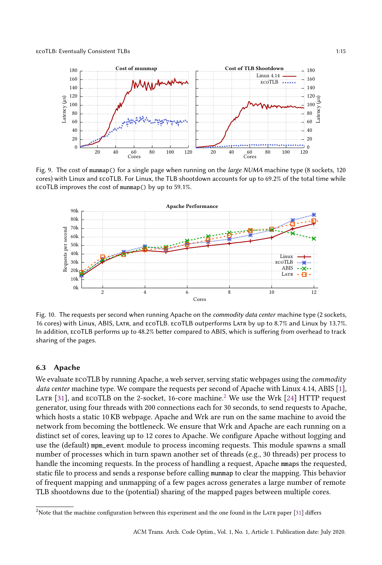<span id="page-14-0"></span>

Fig. 9. The cost of munmap() for a single page when running on the large NUMA machine type (8 sockets, 120 cores) with Linux and ecoTLB. For Linux, the TLB shootdown accounts for up to 69.2% of the total time while ecoTLB improves the cost of munmap() by up to 59.1%.

<span id="page-14-2"></span>

Fig. 10. The requests per second when running Apache on the *commodity data center* machine type (2 sockets, 16 cores) with Linux, ABIS, Latr, and ecoTLB. ecoTLB outperforms Latr by up to 8.7% and Linux by 13.7%. In addition, ecoTLB performs up to 48.2% better compared to ABIS, which is suffering from overhead to track sharing of the pages.

#### 6.3 Apache

We evaluate ECOTLB by running Apache, a web server, serving static webpages using the *commodity* data center machine type. We compare the requests per second of Apache with Linux 4.14, ABIS [\[1\]](#page-20-0), LATR [\[31\]](#page-21-0), and ECOTLB on the [2](#page-14-1)-socket, 16-core machine.<sup>2</sup> We use the Wrk [\[24\]](#page-21-11) HTTP request generator, using four threads with 200 connections each for 30 seconds, to send requests to Apache, which hosts a static 10 KB webpage. Apache and Wrk are run on the same machine to avoid the network from becoming the bottleneck. We ensure that Wrk and Apache are each running on a distinct set of cores, leaving up to 12 cores to Apache. We configure Apache without logging and use the (default) mpm\_event module to process incoming requests. This module spawns a small number of processes which in turn spawn another set of threads (e.g., 30 threads) per process to handle the incoming requests. In the process of handling a request, Apache mmaps the requested, static file to process and sends a response before calling munmap to clear the mapping. This behavior of frequent mapping and unmapping of a few pages across generates a large number of remote TLB shootdowns due to the (potential) sharing of the mapped pages between multiple cores.

<span id="page-14-1"></span> $2$ Note that the machine configuration between this experiment and the one found in the LATR paper [\[31\]](#page-21-0) differs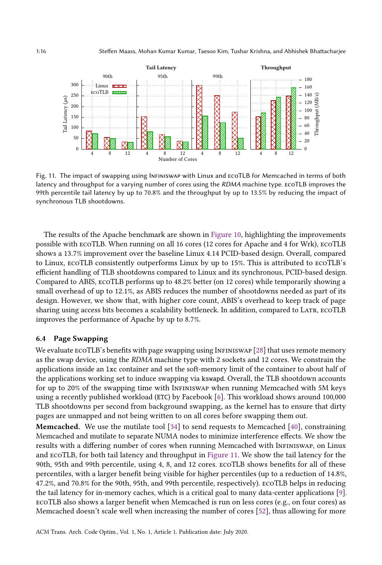<span id="page-15-0"></span>

Fig. 11. The impact of swapping using Infiniswap with Linux and ecoTLB for Memcached in terms of both latency and throughput for a varying number of cores using the RDMA machine type. ECOTLB improves the 99th percentile tail latency by up to 70.8% and the throughput by up to 13.5% by reducing the impact of synchronous TLB shootdowns.

The results of the Apache benchmark are shown in [Figure 10,](#page-14-2) highlighting the improvements possible with ecoTLB. When running on all 16 cores (12 cores for Apache and 4 for Wrk), ecoTLB shows a 13.7% improvement over the baseline Linux 4.14 PCID-based design. Overall, compared to Linux, ecoTLB consistently outperforms Linux by up to 15%. This is attributed to ecoTLB's efficient handling of TLB shootdowns compared to Linux and its synchronous, PCID-based design. Compared to ABIS, ecoTLB performs up to 48.2% better (on 12 cores) while temporarily showing a small overhead of up to 12.1%, as ABIS reduces the number of shootdowns needed as part of its design. However, we show that, with higher core count, ABIS's overhead to keep track of page sharing using access bits becomes a scalability bottleneck. In addition, compared to LATR, ECOTLB improves the performance of Apache by up to 8.7%.

#### 6.4 Page Swapping

We evaluate ECOTLB's benefits with page swapping using INFINISWAP [\[28\]](#page-21-1) that uses remote memory as the swap device, using the RDMA machine type with 2 sockets and 12 cores. We constrain the applications inside an lxc container and set the soft-memory limit of the container to about half of the applications working set to induce swapping via kswapd. Overall, the TLB shootdown accounts for up to 20% of the swapping time with Infiniswap when running Memcached with 5M keys using a recently published workload (ETC) by Facebook [\[6\]](#page-20-6). This workload shows around 100,000 TLB shootdowns per second from background swapping, as the kernel has to ensure that dirty pages are unmapped and not being written to on all cores before swapping them out.

**Memcached.** We use the mutilate tool  $[34]$  to send requests to Memcached  $[40]$ , constraining Memcached and mutilate to separate NUMA nodes to minimize interference effects. We show the results with a differing number of cores when running Memcached with Infiniswap, on Linux and ecoTLB, for both tail latency and throughput in [Figure 11.](#page-15-0) We show the tail latency for the 90th, 95th and 99th percentile, using 4, 8, and 12 cores. ecoTLB shows benefits for all of these percentiles, with a larger benefit being visible for higher percentiles (up to a reduction of 14.8%, 47.2%, and 70.8% for the 90th, 95th, and 99th percentile, respectively). ecoTLB helps in reducing the tail latency for in-memory caches, which is a critical goal to many data-center applications [\[9\]](#page-20-7). ecoTLB also shows a larger benefit when Memcached is run on less cores (e.g., on four cores) as Memcached doesn't scale well when increasing the number of cores [\[52\]](#page-22-15), thus allowing for more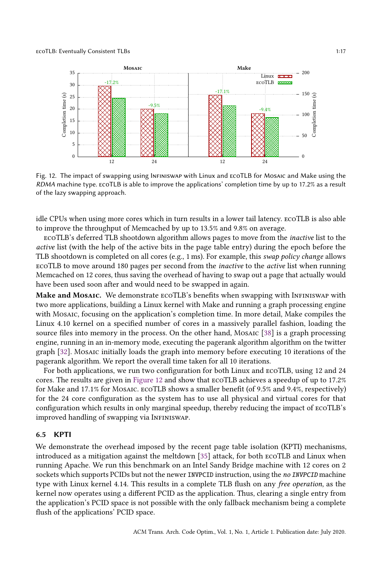<span id="page-16-0"></span>

Fig. 12. The impact of swapping using Infiniswap with Linux and ecoTLB for Mosaic and Make using the RDMA machine type. ecoTLB is able to improve the applications' completion time by up to 17.2% as a result of the lazy swapping approach.

idle CPUs when using more cores which in turn results in a lower tail latency. ecoTLB is also able to improve the throughput of Memcached by up to 13.5% and 9.8% on average.

ecoTLB's deferred TLB shootdown algorithm allows pages to move from the inactive list to the active list (with the help of the active bits in the page table entry) during the epoch before the TLB shootdown is completed on all cores (e.g., 1 ms). For example, this swap policy change allows ecoTLB to move around 180 pages per second from the inactive to the active list when running Memcached on 12 cores, thus saving the overhead of having to swap out a page that actually would have been used soon after and would need to be swapped in again.

Make and Mosaic. We demonstrate ECOTLB's benefits when swapping with INFINISWAP with two more applications, building a Linux kernel with Make and running a graph processing engine with Mosaic, focusing on the application's completion time. In more detail, Make compiles the Linux 4.10 kernel on a specified number of cores in a massively parallel fashion, loading the source files into memory in the process. On the other hand, Mosaic [\[38\]](#page-21-13) is a graph processing engine, running in an in-memory mode, executing the pagerank algorithm algorithm on the twitter graph [\[32\]](#page-21-14). Mosaic initially loads the graph into memory before executing 10 iterations of the pagerank algorithm. We report the overall time taken for all 10 iterations.

For both applications, we run two configuration for both Linux and ecoTLB, using 12 and 24 cores. The results are given in [Figure 12](#page-16-0) and show that ecoTLB achieves a speedup of up to 17.2% for Make and 17.1% for Mosaic. ECOTLB shows a smaller benefit (of 9.5% and 9.4%, respectively) for the 24 core configuration as the system has to use all physical and virtual cores for that configuration which results in only marginal speedup, thereby reducing the impact of ecoTLB's improved handling of swapping via INFINISWAP.

### 6.5 KPTI

We demonstrate the overhead imposed by the recent page table isolation (KPTI) mechanisms, introduced as a mitigation against the meltdown [\[35\]](#page-21-5) attack, for both ecoTLB and Linux when running Apache. We run this benchmark on an Intel Sandy Bridge machine with 12 cores on 2 sockets which supports PCIDs but not the newer INVPCID instruction, using the no INVPCID machine type with Linux kernel 4.14. This results in a complete TLB flush on any free operation, as the kernel now operates using a different PCID as the application. Thus, clearing a single entry from the application's PCID space is not possible with the only fallback mechanism being a complete flush of the applications' PCID space.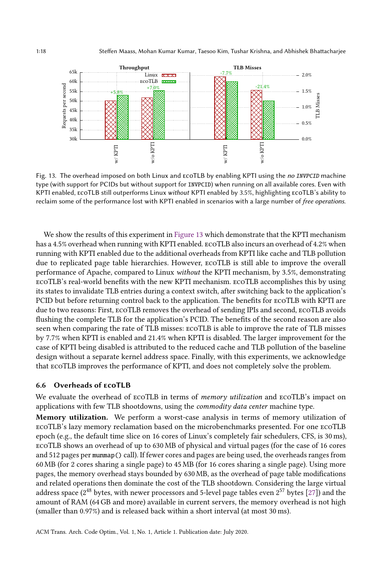<span id="page-17-0"></span>

Fig. 13. The overhead imposed on both Linux and ECOTLB by enabling KPTI using the no INVPCID machine type (with support for PCIDs but without support for INVPCID) when running on all available cores. Even with KPTI enabled, ecoTLB still outperforms Linux without KPTI enabled by 3.5%, highlighting ecoTLB's ability to reclaim some of the performance lost with KPTI enabled in scenarios with a large number of free operations.

We show the results of this experiment in [Figure 13](#page-17-0) which demonstrate that the KPTI mechanism has a 4.5% overhead when running with KPTI enabled. ecoTLB also incurs an overhead of 4.2% when running with KPTI enabled due to the additional overheads from KPTI like cache and TLB pollution due to replicated page table hierarchies. However, ecoTLB is still able to improve the overall performance of Apache, compared to Linux without the KPTI mechanism, by 3.5%, demonstrating ecoTLB's real-world benefits with the new KPTI mechanism. ecoTLB accomplishes this by using its states to invalidate TLB entries during a context switch, after switching back to the application's PCID but before returning control back to the application. The benefits for ecoTLB with KPTI are due to two reasons: First, ecoTLB removes the overhead of sending IPIs and second, ecoTLB avoids flushing the complete TLB for the application's PCID. The benefits of the second reason are also seen when comparing the rate of TLB misses: ecoTLB is able to improve the rate of TLB misses by 7.7% when KPTI is enabled and 21.4% when KPTI is disabled. The larger improvement for the case of KPTI being disabled is attributed to the reduced cache and TLB pollution of the baseline design without a separate kernel address space. Finally, with this experiments, we acknowledge that ecoTLB improves the performance of KPTI, and does not completely solve the problem.

# 6.6 Overheads of ecoTLB

We evaluate the overhead of ECOTLB in terms of *memory utilization* and ECOTLB's impact on applications with few TLB shootdowns, using the commodity data center machine type.

Memory utilization. We perform a worst-case analysis in terms of memory utilization of ecoTLB's lazy memory reclamation based on the microbenchmarks presented. For one ecoTLB epoch (e.g., the default time slice on 16 cores of Linux's completely fair schedulers, CFS, is 30 ms), ecoTLB shows an overhead of up to 630 MB of physical and virtual pages (for the case of 16 cores and 512 pages per munmap() call). If fewer cores and pages are being used, the overheads ranges from 60 MB (for 2 cores sharing a single page) to 45 MB (for 16 cores sharing a single page). Using more pages, the memory overhead stays bounded by 630 MB, as the overhead of page table modifications and related operations then dominate the cost of the TLB shootdown. Considering the large virtual address space (2 $^{48}$  bytes, with newer processors and 5-level page tables even 2 $^{57}$  bytes [\[27\]](#page-21-15)) and the amount of RAM (64GB and more) available in current servers, the memory overhead is not high (smaller than 0.97%) and is released back within a short interval (at most 30 ms).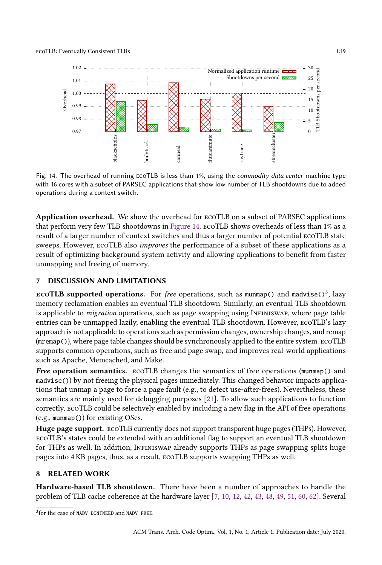<span id="page-18-0"></span>

Fig. 14. The overhead of running ECOTLB is less than 1%, using the commodity data center machine type with 16 cores with a subset of PARSEC applications that show low number of TLB shootdowns due to added operations during a context switch.

Application overhead. We show the overhead for ecoTLB on a subset of PARSEC applications that perform very few TLB shootdowns in [Figure 14.](#page-18-0) ecoTLB shows overheads of less than 1% as a result of a larger number of context switches and thus a larger number of potential ecoTLB state sweeps. However, ecoTLB also improves the performance of a subset of these applications as a result of optimizing background system activity and allowing applications to benefit from faster unmapping and freeing of memory.

# 7 DISCUSSION AND LIMITATIONS

**ECOTLB supported operations.** For *free* operations, such as munmap() and madvise()<sup>[3](#page-18-1)</sup>, lazy memory reclamation enables an eventual TLB shootdown. Similarly, an eventual TLB shootdown is applicable to *migration* operations, such as page swapping using InFINISWAP, where page table entries can be unmapped lazily, enabling the eventual TLB shootdown. However, ecoTLB's lazy approach is not applicable to operations such as permission changes, ownership changes, and remap (mremap()), where page table changes should be synchronously applied to the entire system. ecoTLB supports common operations, such as free and page swap, and improves real-world applications such as Apache, Memcached, and Make.

Free operation semantics. ECOTLB changes the semantics of free operations (munmap() and madvise()) by not freeing the physical pages immediately. This changed behavior impacts applications that unmap a page to force a page fault (e.g., to detect use-after-frees). Nevertheless, these semantics are mainly used for debugging purposes [\[21\]](#page-21-16). To allow such applications to function correctly, ecoTLB could be selectively enabled by including a new flag in the API of free operations (e.g., munmap()) for existing OSes.

Huge page support. ecoTLB currently does not support transparent huge pages (THPs). However, ecoTLB's states could be extended with an additional flag to support an eventual TLB shootdown for THPs as well. In addition, Infiniswap already supports THPs as page swapping splits huge pages into 4 KB pages, thus, as a result, ecoTLB supports swapping THPs as well.

# 8 RELATED WORK

Hardware-based TLB shootdown. There have been a number of approaches to handle the problem of TLB cache coherence at the hardware layer [\[7,](#page-20-1) [10,](#page-20-8) [12,](#page-20-9) [42,](#page-22-1) [43,](#page-22-16) [48,](#page-22-2) [49,](#page-22-3) [51,](#page-22-4) [60,](#page-22-0) [62\]](#page-22-5). Several

<span id="page-18-1"></span><sup>3</sup> for the case of MADV\_DONTNEED and MADV\_FREE.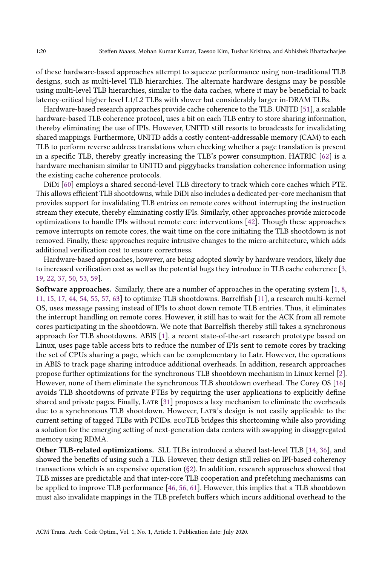of these hardware-based approaches attempt to squeeze performance using non-traditional TLB designs, such as multi-level TLB hierarchies. The alternate hardware designs may be possible using multi-level TLB hierarchies, similar to the data caches, where it may be beneficial to back latency-critical higher level L1/L2 TLBs with slower but considerably larger in-DRAM TLBs.

Hardware-based research approaches provide cache coherence to the TLB. UNITD [\[51\]](#page-22-4), a scalable hardware-based TLB coherence protocol, uses a bit on each TLB entry to store sharing information, thereby eliminating the use of IPIs. However, UNITD still resorts to broadcasts for invalidating shared mappings. Furthermore, UNITD adds a costly content-addressable memory (CAM) to each TLB to perform reverse address translations when checking whether a page translation is present in a specific TLB, thereby greatly increasing the TLB's power consumption. HATRIC [\[62\]](#page-22-5) is a hardware mechanism similar to UNITD and piggybacks translation coherence information using the existing cache coherence protocols.

DiDi [\[60\]](#page-22-0) employs a shared second-level TLB directory to track which core caches which PTE. This allows efficient TLB shootdowns, while DiDi also includes a dedicated per-core mechanism that provides support for invalidating TLB entries on remote cores without interrupting the instruction stream they execute, thereby eliminating costly IPIs. Similarly, other approaches provide microcode optimizations to handle IPIs without remote core interventions [\[42\]](#page-22-1). Though these approaches remove interrupts on remote cores, the wait time on the core initiating the TLB shootdown is not removed. Finally, these approaches require intrusive changes to the micro-architecture, which adds additional verification cost to ensure correctness.

Hardware-based approaches, however, are being adopted slowly by hardware vendors, likely due to increased verification cost as well as the potential bugs they introduce in TLB cache coherence [\[3,](#page-20-10) [19,](#page-21-17) [22,](#page-21-18) [37,](#page-21-19) [50,](#page-22-17) [53,](#page-22-18) [59\]](#page-22-19).

Software approaches. Similarly, there are a number of approaches in the operating system [\[1,](#page-20-0) [8,](#page-20-4) [11,](#page-20-5) [15,](#page-21-7) [17,](#page-21-8) [44,](#page-22-8) [54,](#page-22-9) [55,](#page-22-10) [57,](#page-22-11) [63\]](#page-23-1) to optimize TLB shootdowns. Barrelfish [\[11\]](#page-20-5), a research multi-kernel OS, uses message passing instead of IPIs to shoot down remote TLB entries. Thus, it eliminates the interrupt handling on remote cores. However, it still has to wait for the ACK from all remote cores participating in the shootdown. We note that Barrelfish thereby still takes a synchronous approach for TLB shootdowns. ABIS [\[1\]](#page-20-0), a recent state-of-the-art research prototype based on Linux, uses page table access bits to reduce the number of IPIs sent to remote cores by tracking the set of CPUs sharing a page, which can be complementary to Latr. However, the operations in ABIS to track page sharing introduce additional overheads. In addition, research approaches propose further optimizations for the synchronous TLB shootdown mechanism in Linux kernel [\[2\]](#page-20-11). However, none of them eliminate the synchronous TLB shootdown overhead. The Corey OS [\[16\]](#page-21-20) avoids TLB shootdowns of private PTEs by requiring the user applications to explicitly define shared and private pages. Finally, LATR [\[31\]](#page-21-0) proposes a lazy mechanism to eliminate the overheads due to a synchronous TLB shootdown. However, LATR's design is not easily applicable to the current setting of tagged TLBs with PCIDs. ecoTLB bridges this shortcoming while also providing a solution for the emerging setting of next-generation data centers with swapping in disaggregated memory using RDMA.

Other TLB-related optimizations. SLL TLBs introduced a shared last-level TLB [\[14,](#page-21-21) [36\]](#page-21-22), and showed the benefits of using such a TLB. However, their design still relies on IPI-based coherency transactions which is an expensive operation [\(§2\)](#page-2-1). In addition, research approaches showed that TLB misses are predictable and that inter-core TLB cooperation and prefetching mechanisms can be applied to improve TLB performance [\[46,](#page-22-20) [56,](#page-22-21) [61\]](#page-22-22). However, this implies that a TLB shootdown must also invalidate mappings in the TLB prefetch buffers which incurs additional overhead to the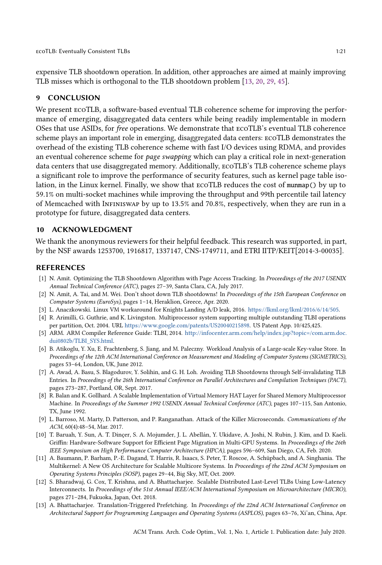expensive TLB shootdown operation. In addition, other approaches are aimed at mainly improving TLB misses which is orthogonal to the TLB shootdown problem [\[13,](#page-20-12) [20,](#page-21-23) [29,](#page-21-24) [45\]](#page-22-23).

#### 9 CONCLUSION

We present ecoTLB, a software-based eventual TLB coherence scheme for improving the performance of emerging, disaggregated data centers while being readily implementable in modern OSes that use ASIDs, for free operations. We demonstrate that ecoTLB's eventual TLB coherence scheme plays an important role in emerging, disaggregated data centers: ecoTLB demonstrates the overhead of the existing TLB coherence scheme with fast I/O devices using RDMA, and provides an eventual coherence scheme for page swapping which can play a critical role in next-generation data centers that use disaggregated memory. Additionally, ecoTLB's TLB coherence scheme plays a significant role to improve the performance of security features, such as kernel page table isolation, in the Linux kernel. Finally, we show that ecoTLB reduces the cost of munmap() by up to 59.1% on multi-socket machines while improving the throughput and 99th percentile tail latency of Memcached with Infiniswap by up to 13.5% and 70.8%, respectively, when they are run in a prototype for future, disaggregated data centers.

#### 10 ACKNOWLEDGMENT

We thank the anonymous reviewers for their helpful feedback. This research was supported, in part, by the NSF awards 1253700, 1916817, 1337147, CNS-1749711, and ETRI IITP/KEIT[2014-3-00035].

#### REFERENCES

- <span id="page-20-0"></span>[1] N. Amit. Optimizing the TLB Shootdown Algorithm with Page Access Tracking. In Proceedings of the 2017 USENIX Annual Technical Conference (ATC), pages 27–39, Santa Clara, CA, July 2017.
- <span id="page-20-11"></span>[2] N. Amit, A. Tai, and M. Wei. Don't shoot down TLB shootdowns! In Proceedings of the 15th European Conference on Computer Systems (EuroSys), pages 1–14, Heraklion, Greece, Apr. 2020.
- <span id="page-20-10"></span>[3] L. Anaczkowski. Linux VM workaround for Knights Landing A/D leak, 2016. [https://lkml.org/lkml/2016/6/14/505.](https://lkml.org/lkml/2016/6/14/505)
- <span id="page-20-2"></span>[4] R. Arimilli, G. Guthrie, and K. Livingston. Multiprocessor system supporting multiple outstanding TLBI operations per partition, Oct. 2004. URL [https://www.google.com/patents/US20040215898.](https://www.google.com/patents/US20040215898) US Patent App. 10/425,425.
- <span id="page-20-3"></span>[5] ARM. ARM Compiler Reference Guide: TLBI, 2014. [http://infocenter.arm.com/help/index.jsp?topic=/com.arm.doc.](http://infocenter.arm.com/help/index.jsp?topic=/com.arm.doc.dui0802b/TLBI_SYS.html) [dui0802b/TLBI\\_SYS.html.](http://infocenter.arm.com/help/index.jsp?topic=/com.arm.doc.dui0802b/TLBI_SYS.html)
- <span id="page-20-6"></span>[6] B. Atikoglu, Y. Xu, E. Frachtenberg, S. Jiang, and M. Paleczny. Workload Analysis of a Large-scale Key-value Store. In Proceedings of the 12th ACM International Conference on Measurement and Modeling of Computer Systems (SIGMETRICS), pages 53–64, London, UK, June 2012.
- <span id="page-20-1"></span>[7] A. Awad, A. Basu, S. Blagodurov, Y. Solihin, and G. H. Loh. Avoiding TLB Shootdowns through Self-invalidating TLB Entries. In Proceedings of the 26th International Conference on Parallel Architectures and Compilation Techniques (PACT), pages 273–287, Portland, OR, Sept. 2017.
- <span id="page-20-4"></span>[8] R. Balan and K. Gollhard. A Scalable Implementation of Virtual Memory HAT Layer for Shared Memory Multiprocessor Machine. In Proceedings of the Summer 1992 USENIX Annual Technical Conference (ATC), pages 107–115, San Antonio, TX, June 1992.
- <span id="page-20-7"></span>[9] L. Barroso, M. Marty, D. Patterson, and P. Ranganathan. Attack of the Killer Microseconds. Communications of the ACM, 60(4):48–54, Mar. 2017.
- <span id="page-20-8"></span>[10] T. Baruah, Y. Sun, A. T. Dinçer, S. A. Mojumder, J. L. Abellán, Y. Ukidave, A. Joshi, N. Rubin, J. Kim, and D. Kaeli. Griffin: Hardware-Software Support for Efficient Page Migration in Multi-GPU Systems. In Proceedings of the 26th IEEE Symposium on High Performance Computer Architecture (HPCA), pages 596–609, San Diego, CA, Feb. 2020.
- <span id="page-20-5"></span>[11] A. Baumann, P. Barham, P.-E. Dagand, T. Harris, R. Isaacs, S. Peter, T. Roscoe, A. Schüpbach, and A. Singhania. The Multikernel: A New OS Architecture for Scalable Multicore Systems. In Proceedings of the 22nd ACM Symposium on Operating Systems Principles (SOSP), pages 29–44, Big Sky, MT, Oct. 2009.
- <span id="page-20-9"></span>[12] S. Bharadwaj, G. Cox, T. Krishna, and A. Bhattacharjee. Scalable Distributed Last-Level TLBs Using Low-Latency Interconnects. In Proceedings of the 51st Annual IEEE/ACM International Symposium on Microarchitecture (MICRO), pages 271–284, Fukuoka, Japan, Oct. 2018.
- <span id="page-20-12"></span>[13] A. Bhattacharjee. Translation-Triggered Prefetching. In Proceedings of the 22nd ACM International Conference on Architectural Support for Programming Languages and Operating Systems (ASPLOS), pages 63–76, Xi'an, China, Apr.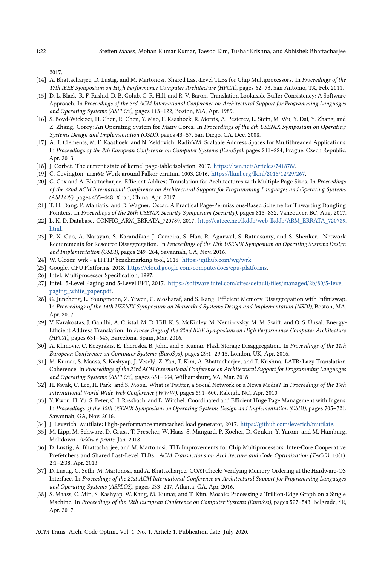2017.

- <span id="page-21-21"></span>[14] A. Bhattacharjee, D. Lustig, and M. Martonosi. Shared Last-Level TLBs for Chip Multiprocessors. In Proceedings of the 17th IEEE Symposium on High Performance Computer Architecture (HPCA), pages 62–73, San Antonio, TX, Feb. 2011.
- <span id="page-21-7"></span>[15] D. L. Black, R. F. Rashid, D. B. Golub, C. R. Hill, and R. V. Baron. Translation Lookaside Buffer Consistency: A Software Approach. In Proceedings of the 3rd ACM International Conference on Architectural Support for Programming Languages and Operating Systems (ASPLOS), pages 113–122, Boston, MA, Apr. 1989.
- <span id="page-21-20"></span>[16] S. Boyd-Wickizer, H. Chen, R. Chen, Y. Mao, F. Kaashoek, R. Morris, A. Pesterev, L. Stein, M. Wu, Y. Dai, Y. Zhang, and Z. Zhang. Corey: An Operating System for Many Cores. In Proceedings of the 8th USENIX Symposium on Operating Systems Design and Implementation (OSDI), pages 43–57, San Diego, CA, Dec. 2008.
- <span id="page-21-8"></span>[17] A. T. Clements, M. F. Kaashoek, and N. Zeldovich. RadixVM: Scalable Address Spaces for Multithreaded Applications. In Proceedings of the 8th European Conference on Computer Systems (EuroSys), pages 211–224, Prague, Czech Republic, Apr. 2013.
- <span id="page-21-4"></span>[18] J. Corbet. The current state of kernel page-table isolation, 2017. [https://lwn.net/Articles/741878/.](https://lwn.net/Articles/741878/)
- <span id="page-21-17"></span>[19] C. Covington. arm64: Work around Falkor erratum 1003, 2016. [https://lkml.org/lkml/2016/12/29/267.](https://lkml.org/lkml/2016/12/29/267)
- <span id="page-21-23"></span>[20] G. Cox and A. Bhattacharjee. Efficient Address Translation for Architectures with Multiple Page Sizes. In Proceedings of the 22nd ACM International Conference on Architectural Support for Programming Languages and Operating Systems (ASPLOS), pages 435–448, Xi'an, China, Apr. 2017.
- <span id="page-21-16"></span>[21] T. H. Dang, P. Maniatis, and D. Wagner. Oscar: A Practical Page-Permissions-Based Scheme for Thwarting Dangling Pointers. In Proceedings of the 26th USENIX Security Symposium (Security), pages 815–832, Vancouver, BC, Aug. 2017.
- <span id="page-21-18"></span>[22] L. K. D. Database. CONFIG\_ARM\_ERRATA\_720789, 2017. [http://cateee.net/lkddb/web-lkddb/ARM\\_ERRATA\\_720789.](http://cateee.net/lkddb/web-lkddb/ARM_ERRATA_720789.html) [html.](http://cateee.net/lkddb/web-lkddb/ARM_ERRATA_720789.html)
- <span id="page-21-2"></span>[23] P. X. Gao, A. Narayan, S. Karandikar, J. Carreira, S. Han, R. Agarwal, S. Ratnasamy, and S. Shenker. Network Requirements for Resource Disaggregation. In Proceedings of the 12th USENIX Symposium on Operating Systems Design and Implementation (OSDI), pages 249–264, Savannah, GA, Nov. 2016.
- <span id="page-21-11"></span>[24] W. Glozer. wrk - a HTTP benchmarking tool, 2015. [https://github.com/wg/wrk.](https://github.com/wg/wrk)
- <span id="page-21-6"></span>[25] Google. CPU Platforms, 2018. [https://cloud.google.com/compute/docs/cpu-platforms.](https://cloud.google.com/compute/docs/cpu-platforms)
- <span id="page-21-9"></span>[26] Intel. Multiprocessor Specification, 1997.
- <span id="page-21-15"></span>[27] Intel. 5-Level Paging and 5-Level EPT, 2017. [https://software.intel.com/sites/default/files/managed/2b/80/5-level\\_](https://software.intel.com/sites/default/files/managed/2b/80/5-level_paging_white_paper.pdf) [paging\\_white\\_paper.pdf.](https://software.intel.com/sites/default/files/managed/2b/80/5-level_paging_white_paper.pdf)
- <span id="page-21-1"></span>[28] G. Juncheng, L. Youngmoon, Z. Yiwen, C. Mosharaf, and S. Kang. Efficient Memory Disaggregation with Infiniswap. In Proceedings of the 14th USENIX Symposium on Networked Systems Design and Implementation (NSDI), Boston, MA, Apr. 2017.
- <span id="page-21-24"></span>[29] V. Karakostas, J. Gandhi, A. Cristal, M. D. Hill, K. S. McKinley, M. Nemirovsky, M. M. Swift, and O. S. Ünsal. Energy-Efficient Address Translation. In Proceedings of the 22nd IEEE Symposium on High Performance Computer Architecture (HPCA), pages 631–643, Barcelona, Spain, Mar. 2016.
- <span id="page-21-3"></span>[30] A. Klimovic, C. Kozyrakis, E. Thereska, B. John, and S. Kumar. Flash Storage Disaggregation. In Proceedings of the 11th European Conference on Computer Systems (EuroSys), pages 29:1–29:15, London, UK, Apr. 2016.
- <span id="page-21-0"></span>[31] M. Kumar, S. Maass, S. Kashyap, J. Veselý, Z. Yan, T. Kim, A. Bhattacharjee, and T. Krishna. LATR: Lazy Translation Coherence. In Proceedings of the 23rd ACM International Conference on Architectural Support for Programming Languages and Operating Systems (ASPLOS), pages 651–664, Williamsburg, VA, Mar. 2018.
- <span id="page-21-14"></span>[32] H. Kwak, C. Lee, H. Park, and S. Moon. What is Twitter, a Social Network or a News Media? In Proceedings of the 19th International World Wide Web Conference (WWW), pages 591–600, Raleigh, NC, Apr. 2010.
- <span id="page-21-10"></span>[33] Y. Kwon, H. Yu, S. Peter, C. J. Rossbach, and E. Witchel. Coordinated and Efficient Huge Page Management with Ingens. In Proceedings of the 12th USENIX Symposium on Operating Systems Design and Implementation (OSDI), pages 705–721, Savannah, GA, Nov. 2016.
- <span id="page-21-12"></span>[34] J. Leverich. Mutilate: High-performance memcached load generator, 2017. [https://github.com/leverich/mutilate.](https://github.com/leverich/mutilate)
- <span id="page-21-5"></span>[35] M. Lipp, M. Schwarz, D. Gruss, T. Prescher, W. Haas, S. Mangard, P. Kocher, D. Genkin, Y. Yarom, and M. Hamburg. Meltdown. ArXiv e-prints, Jan. 2018.
- <span id="page-21-22"></span>[36] D. Lustig, A. Bhattacharjee, and M. Martonosi. TLB Improvements for Chip Multiprocessors: Inter-Core Cooperative Prefetchers and Shared Last-Level TLBs. ACM Transactions on Architecture and Code Optimization (TACO), 10(1): 2:1–2:38, Apr. 2013.
- <span id="page-21-19"></span>[37] D. Lustig, G. Sethi, M. Martonosi, and A. Bhattacharjee. COATCheck: Verifying Memory Ordering at the Hardware-OS Interface. In Proceedings of the 21st ACM International Conference on Architectural Support for Programming Languages and Operating Systems (ASPLOS), pages 233–247, Atlanta, GA, Apr. 2016.
- <span id="page-21-13"></span>[38] S. Maass, C. Min, S. Kashyap, W. Kang, M. Kumar, and T. Kim. Mosaic: Processing a Trillion-Edge Graph on a Single Machine. In Proceedings of the 12th European Conference on Computer Systems (EuroSys), pages 527–543, Belgrade, SR, Apr. 2017.

ACM Trans. Arch. Code Optim., Vol. 1, No. 1, Article 1. Publication date: July 2020.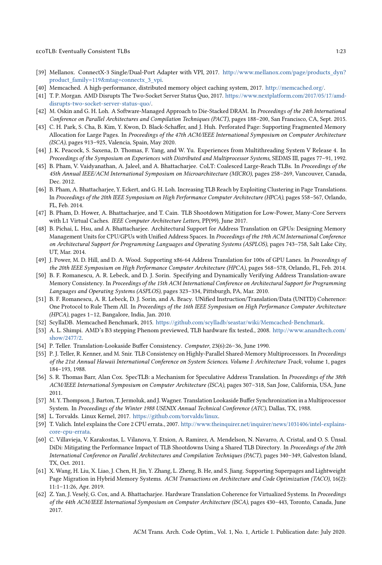- <span id="page-22-13"></span>[39] Mellanox. ConnectX-3 Single/Dual-Port Adapter with VPI, 2017. [http://www.mellanox.com/page/products\\_dyn?](http://www.mellanox.com/page/products_dyn?product_family=119&mtag=connectx_3_vpi) [product\\_family=119&mtag=connectx\\_3\\_vpi.](http://www.mellanox.com/page/products_dyn?product_family=119&mtag=connectx_3_vpi)
- <span id="page-22-14"></span>[40] Memcached. A high-performance, distributed memory object caching system, 2017. [http://memcached.org/.](http://memcached.org/)
- <span id="page-22-12"></span>[41] T. P. Morgan. AMD Disrupts The Two-Socket Server Status Quo, 2017. [https://www.nextplatform.com/2017/05/17/amd](https://www.nextplatform.com/2017/05/17/amd-disrupts-two-socket-server-status-quo/)[disrupts-two-socket-server-status-quo/.](https://www.nextplatform.com/2017/05/17/amd-disrupts-two-socket-server-status-quo/)
- <span id="page-22-1"></span>[42] M. Oskin and G. H. Loh. A Software-Managed Approach to Die-Stacked DRAM. In Proceedings of the 24th International Conference on Parallel Architectures and Compilation Techniques (PACT), pages 188–200, San Francisco, CA, Sept. 2015.
- <span id="page-22-16"></span>[43] C. H. Park, S. Cha, B. Kim, Y. Kwon, D. Black-Schaffer, and J. Huh. Perforated Page: Supporting Fragmented Memory Allocation for Large Pages. In Proceedings of the 47th ACM/IEEE International Symposium on Computer Architecture (ISCA), pages 913–925, Valencia, Spain, May 2020.
- <span id="page-22-8"></span>[44] J. K. Peacock, S. Saxena, D. Thomas, F. Yang, and W. Yu. Experiences from Multithreading System V Release 4. In Proceedings of the Symposium on Experiences with Distributed and Multiprocessor Systems, SEDMS III, pages 77–91, 1992.
- <span id="page-22-23"></span>[45] B. Pham, V. Vaidyanathan, A. Jaleel, and A. Bhattacharjee. CoLT: Coalesced Large-Reach TLBs. In Proceedings of the 45th Annual IEEE/ACM International Symposium on Microarchitecture (MICRO), pages 258–269, Vancouver, Canada, Dec. 2012.
- <span id="page-22-20"></span>[46] B. Pham, A. Bhattacharjee, Y. Eckert, and G. H. Loh. Increasing TLB Reach by Exploiting Clustering in Page Translations. In Proceedings of the 20th IEEE Symposium on High Performance Computer Architecture (HPCA), pages 558–567, Orlando, FL, Feb. 2014.
- <span id="page-22-6"></span>[47] B. Pham, D. Hower, A. Bhattacharjee, and T. Cain. TLB Shootdown Mitigation for Low-Power, Many-Core Servers with L1 Virtual Caches. IEEE Computer Architecture Letters, PP(99), June 2017.
- <span id="page-22-2"></span>[48] B. Pichai, L. Hsu, and A. Bhattacharjee. Architectural Support for Address Translation on GPUs: Designing Memory Management Units for CPU/GPUs with Unified Address Spaces. In Proceedings of the 19th ACM International Conference on Architectural Support for Programming Languages and Operating Systems (ASPLOS), pages 743–758, Salt Lake City, UT, Mar. 2014.
- <span id="page-22-3"></span>[49] J. Power, M. D. Hill, and D. A. Wood. Supporting x86-64 Address Translation for 100s of GPU Lanes. In Proceedings of the 20th IEEE Symposium on High Performance Computer Architecture (HPCA), pages 568–578, Orlando, FL, Feb. 2014.
- <span id="page-22-17"></span>[50] B. F. Romanescu, A. R. Lebeck, and D. J. Sorin. Specifying and Dynamically Verifying Address Translation-aware Memory Consistency. In Proceedings of the 15th ACM International Conference on Architectural Support for Programming Languages and Operating Systems (ASPLOS), pages 323–334, Pittsburgh, PA, Mar. 2010.
- <span id="page-22-4"></span>[51] B. F. Romanescu, A. R. Lebeck, D. J. Sorin, and A. Bracy. UNified Instruction/Translation/Data (UNITD) Coherence: One Protocol to Rule Them All. In Proceedings of the 16th IEEE Symposium on High Performance Computer Architecture (HPCA), pages 1–12, Bangalore, India, Jan. 2010.
- <span id="page-22-15"></span>[52] ScyllaDB. Memcached Benchmark, 2015. [https://github.com/scylladb/seastar/wiki/Memcached-Benchmark.](https://github.com/scylladb/seastar/wiki/Memcached-Benchmark)
- <span id="page-22-18"></span>[53] A. L. Shimpi. AMD's B3 stepping Phenom previewed, TLB hardware fix tested., 2008. [http://www.anandtech.com/](http://www.anandtech.com/show/2477/2) [show/2477/2.](http://www.anandtech.com/show/2477/2)
- <span id="page-22-9"></span>[54] P. Teller. Translation-Lookaside Buffer Consistency. Computer, 23(6):26–36, June 1990.
- <span id="page-22-10"></span>[55] P. J. Teller, R. Kenner, and M. Snir. TLB Consistency on Highly-Parallel Shared-Memory Multiprocessors. In Proceedings of the 21st Annual Hawaii International Conference on System Sciences. Volume I: Architecture Track, volume 1, pages 184–193, 1988.
- <span id="page-22-21"></span>[56] S. R. Thomas Barr, Alan Cox. SpecTLB: a Mechanism for Speculative Address Translation. In Proceedings of the 38th ACM/IEEE International Symposium on Computer Architecture (ISCA), pages 307–318, San Jose, California, USA, June 2011.
- <span id="page-22-11"></span>[57] M. Y. Thompson, J. Barton, T. Jermoluk, and J. Wagner. Translation Lookaside Buffer Synchronization in a Multiprocessor System. In Proceedings of the Winter 1988 USENIX Annual Technical Conference (ATC), Dallas, TX, 1988.
- <span id="page-22-7"></span>[58] L. Torvalds. Linux Kernel, 2017. [https://github.com/torvalds/linux.](https://github.com/torvalds/linux)
- <span id="page-22-19"></span>[59] T. Valich. Intel explains the Core 2 CPU errata., 2007. [http://www.theinquirer.net/inquirer/news/1031406/intel-explains](http://www.theinquirer.net/inquirer/news/1031406/intel-explains-core-cpu-errata)[core-cpu-errata.](http://www.theinquirer.net/inquirer/news/1031406/intel-explains-core-cpu-errata)
- <span id="page-22-0"></span>[60] C. Villavieja, V. Karakostas, L. Vilanova, Y. Etsion, A. Ramirez, A. Mendelson, N. Navarro, A. Cristal, and O. S. Ünsal. DiDi: Mitigating the Performance Impact of TLB Shootdowns Using a Shared TLB Directory. In Proceedings of the 20th International Conference on Parallel Architectures and Compilation Techniques (PACT), pages 340–349, Galveston Island, TX, Oct. 2011.
- <span id="page-22-22"></span>[61] X. Wang, H. Liu, X. Liao, J. Chen, H. Jin, Y. Zhang, L. Zheng, B. He, and S. Jiang. Supporting Superpages and Lightweight Page Migration in Hybrid Memory Systems. ACM Transactions on Architecture and Code Optimization (TACO), 16(2): 11:1–11:26, Apr. 2019.
- <span id="page-22-5"></span>[62] Z. Yan, J. Veselý, G. Cox, and A. Bhattacharjee. Hardware Translation Coherence for Virtualized Systems. In Proceedings of the 44th ACM/IEEE International Symposium on Computer Architecture (ISCA), pages 430–443, Toronto, Canada, June 2017.